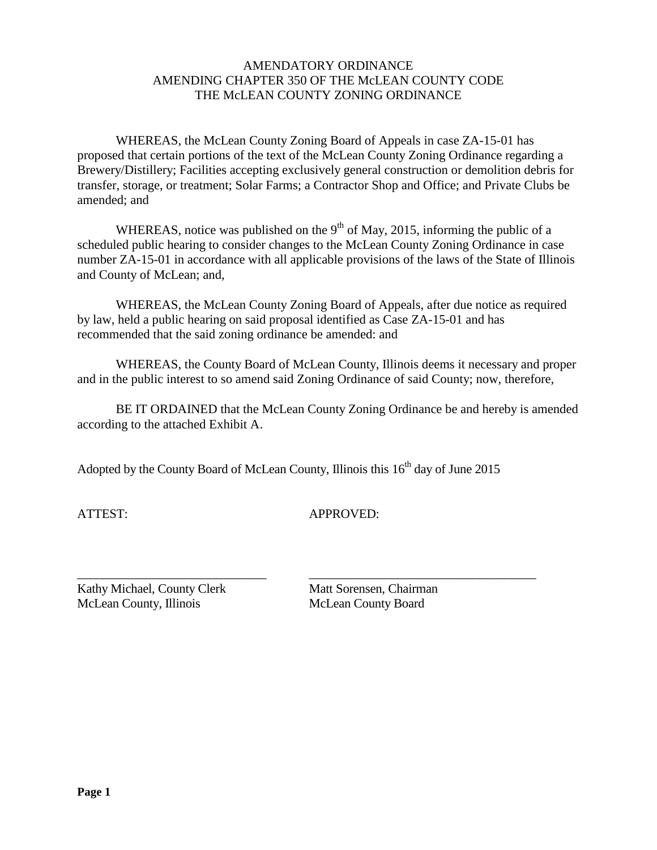#### AMENDATORY ORDINANCE AMENDING CHAPTER 350 OF THE McLEAN COUNTY CODE THE McLEAN COUNTY ZONING ORDINANCE

WHEREAS, the McLean County Zoning Board of Appeals in case ZA-15-01 has proposed that certain portions of the text of the McLean County Zoning Ordinance regarding a Brewery/Distillery; Facilities accepting exclusively general construction or demolition debris for transfer, storage, or treatment; Solar Farms; a Contractor Shop and Office; and Private Clubs be amended; and

WHEREAS, notice was published on the  $9<sup>th</sup>$  of May, 2015, informing the public of a scheduled public hearing to consider changes to the McLean County Zoning Ordinance in case number ZA-15-01 in accordance with all applicable provisions of the laws of the State of Illinois and County of McLean; and,

WHEREAS, the McLean County Zoning Board of Appeals, after due notice as required by law, held a public hearing on said proposal identified as Case ZA-15-01 and has recommended that the said zoning ordinance be amended: and

WHEREAS, the County Board of McLean County, Illinois deems it necessary and proper and in the public interest to so amend said Zoning Ordinance of said County; now, therefore,

BE IT ORDAINED that the McLean County Zoning Ordinance be and hereby is amended according to the attached Exhibit A.

Adopted by the County Board of McLean County, Illinois this 16<sup>th</sup> day of June 2015

ATTEST: APPROVED:

\_\_\_\_\_\_\_\_\_\_\_\_\_\_\_\_\_\_\_\_\_\_\_\_\_\_\_\_\_\_ \_\_\_\_\_\_\_\_\_\_\_\_\_\_\_\_\_\_\_\_\_\_\_\_\_\_\_\_\_\_\_\_\_\_\_\_ Kathy Michael, County Clerk Matt Sorensen, Chairman McLean County, Illinois McLean County Board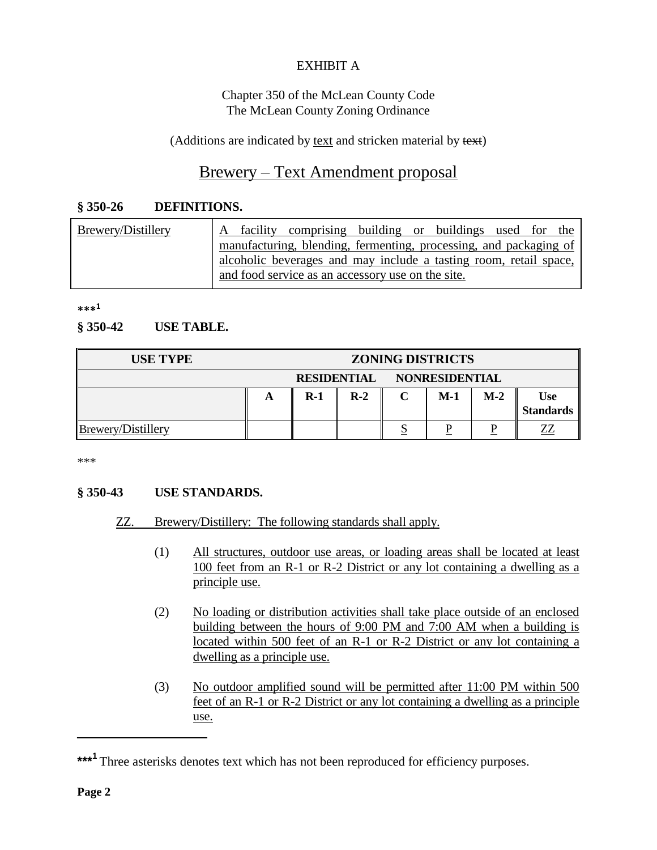# EXHIBIT A

#### Chapter 350 of the McLean County Code The McLean County Zoning Ordinance

(Additions are indicated by text and stricken material by text)

# Brewery – Text Amendment proposal

#### **§ 350-26 DEFINITIONS.**

| Brewery/Distillery | facility comprising building or buildings used for the<br>$\mathsf{A}$ |  |  |  |  |  |  |  |  |
|--------------------|------------------------------------------------------------------------|--|--|--|--|--|--|--|--|
|                    | manufacturing, blending, fermenting, processing, and packaging of      |  |  |  |  |  |  |  |  |
|                    | alcoholic beverages and may include a tasting room, retail space,      |  |  |  |  |  |  |  |  |
|                    | and food service as an accessory use on the site.                      |  |  |  |  |  |  |  |  |

**\*\*\*<sup>1</sup>**

#### **§ 350-42 USE TABLE.**

| <b>USE TYPE</b>    | <b>ZONING DISTRICTS</b> |       |       |                            |       |       |                                |
|--------------------|-------------------------|-------|-------|----------------------------|-------|-------|--------------------------------|
|                    |                         |       |       | RESIDENTIAL NONRESIDENTIAL |       |       |                                |
|                    | A                       | $R-1$ | $R-2$ |                            | $M-1$ | $M-2$ | <b>Use</b><br><b>Standards</b> |
| Brewery/Distillery |                         |       |       |                            |       |       | ZZ                             |

\*\*\*

## **§ 350-43 USE STANDARDS.**

## ZZ. Brewery/Distillery: The following standards shall apply.

- (1) All structures, outdoor use areas, or loading areas shall be located at least 100 feet from an R-1 or R-2 District or any lot containing a dwelling as a principle use.
- (2) No loading or distribution activities shall take place outside of an enclosed building between the hours of 9:00 PM and 7:00 AM when a building is located within 500 feet of an R-1 or R-2 District or any lot containing a dwelling as a principle use.
- (3) No outdoor amplified sound will be permitted after 11:00 PM within 500 feet of an R-1 or R-2 District or any lot containing a dwelling as a principle use.

\_\_\_\_\_\_\_\_\_\_\_\_\_\_\_\_\_\_

<sup>\*\*\*&</sup>lt;sup>1</sup> Three asterisks denotes text which has not been reproduced for efficiency purposes.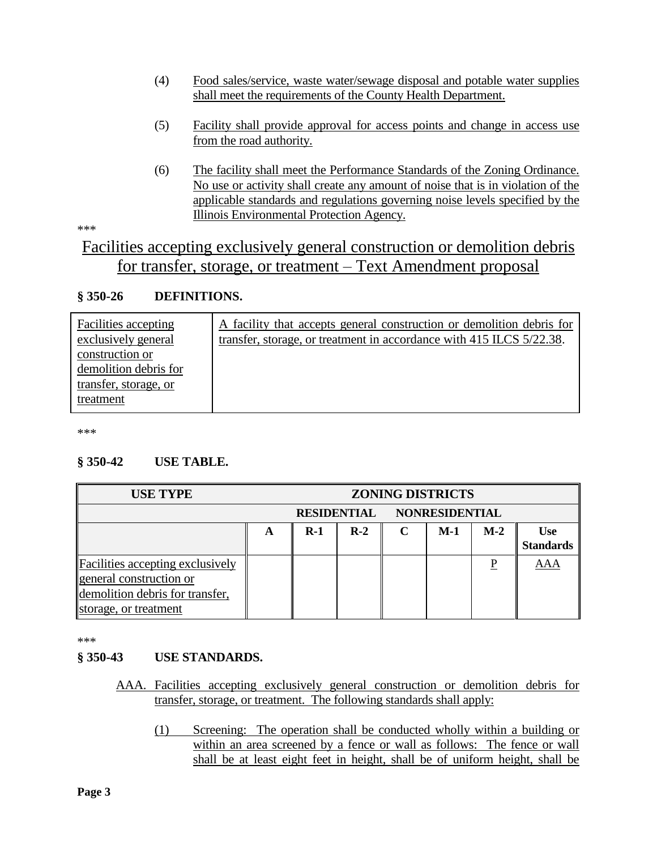- (4) Food sales/service, waste water/sewage disposal and potable water supplies shall meet the requirements of the County Health Department.
- (5) Facility shall provide approval for access points and change in access use from the road authority.
- (6) The facility shall meet the Performance Standards of the Zoning Ordinance. No use or activity shall create any amount of noise that is in violation of the applicable standards and regulations governing noise levels specified by the Illinois Environmental Protection Agency.

\*\*\*

# Facilities accepting exclusively general construction or demolition debris for transfer, storage, or treatment – Text Amendment proposal

## **§ 350-26 DEFINITIONS.**

\*\*\*

## **§ 350-42 USE TABLE.**

| <b>USE TYPE</b>                                                                                                                | <b>ZONING DISTRICTS</b> |       |       |                       |       |       |                                |
|--------------------------------------------------------------------------------------------------------------------------------|-------------------------|-------|-------|-----------------------|-------|-------|--------------------------------|
|                                                                                                                                | <b>RESIDENTIAL</b>      |       |       | <b>NONRESIDENTIAL</b> |       |       |                                |
|                                                                                                                                | A                       | $R-1$ | $R-2$ |                       | $M-1$ | $M-2$ | <b>Use</b><br><b>Standards</b> |
| <b>Facilities accepting exclusively</b><br>general construction or<br>demolition debris for transfer,<br>storage, or treatment |                         |       |       |                       |       | P     | <b>AAA</b>                     |

\*\*\*

## **§ 350-43 USE STANDARDS.**

- AAA. Facilities accepting exclusively general construction or demolition debris for transfer, storage, or treatment. The following standards shall apply:
	- (1) Screening: The operation shall be conducted wholly within a building or within an area screened by a fence or wall as follows: The fence or wall shall be at least eight feet in height, shall be of uniform height, shall be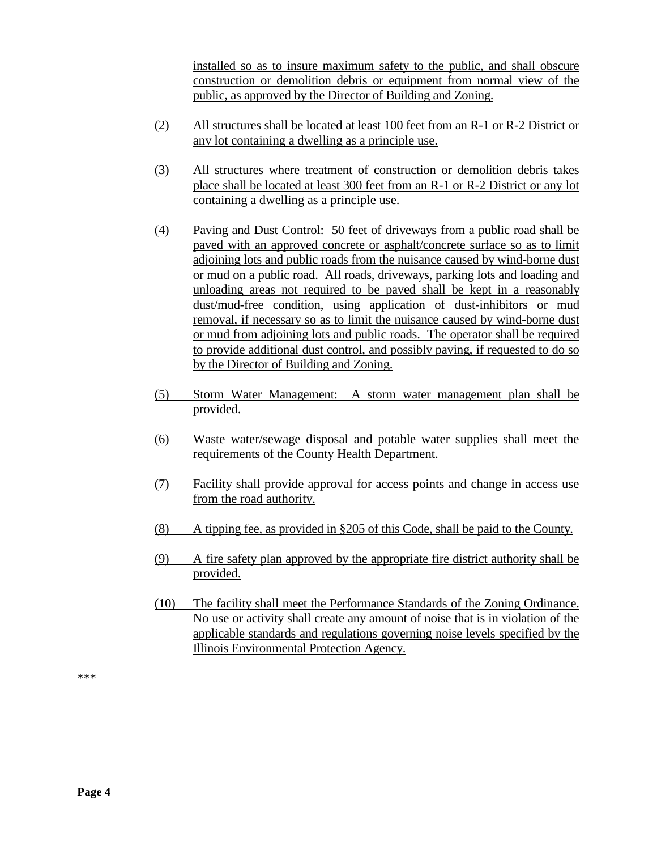installed so as to insure maximum safety to the public, and shall obscure construction or demolition debris or equipment from normal view of the public, as approved by the Director of Building and Zoning.

- (2) All structures shall be located at least 100 feet from an R-1 or R-2 District or any lot containing a dwelling as a principle use.
- (3) All structures where treatment of construction or demolition debris takes place shall be located at least 300 feet from an R-1 or R-2 District or any lot containing a dwelling as a principle use.
- (4) Paving and Dust Control: 50 feet of driveways from a public road shall be paved with an approved concrete or asphalt/concrete surface so as to limit adjoining lots and public roads from the nuisance caused by wind-borne dust or mud on a public road. All roads, driveways, parking lots and loading and unloading areas not required to be paved shall be kept in a reasonably dust/mud-free condition, using application of dust-inhibitors or mud removal, if necessary so as to limit the nuisance caused by wind-borne dust or mud from adjoining lots and public roads. The operator shall be required to provide additional dust control, and possibly paving, if requested to do so by the Director of Building and Zoning.
- (5) Storm Water Management: A storm water management plan shall be provided.
- (6) Waste water/sewage disposal and potable water supplies shall meet the requirements of the County Health Department.
- (7) Facility shall provide approval for access points and change in access use from the road authority.
- (8) A tipping fee, as provided in §205 of this Code, shall be paid to the County.
- (9) A fire safety plan approved by the appropriate fire district authority shall be provided.
- (10) The facility shall meet the Performance Standards of the Zoning Ordinance. No use or activity shall create any amount of noise that is in violation of the applicable standards and regulations governing noise levels specified by the Illinois Environmental Protection Agency.

\*\*\*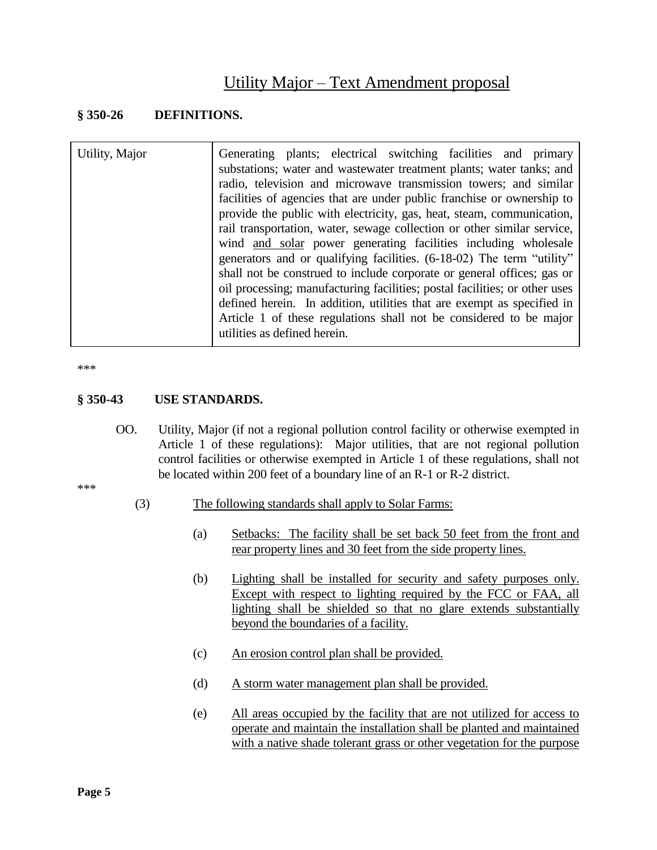# Utility Major – Text Amendment proposal

#### **§ 350-26 DEFINITIONS.**

| Utility, Major                                                     | Generating plants; electrical switching facilities and primary<br>substations; water and wastewater treatment plants; water tanks; and               |  |  |  |  |  |  |
|--------------------------------------------------------------------|------------------------------------------------------------------------------------------------------------------------------------------------------|--|--|--|--|--|--|
|                                                                    | radio, television and microwave transmission towers; and similar                                                                                     |  |  |  |  |  |  |
|                                                                    | facilities of agencies that are under public franchise or ownership to                                                                               |  |  |  |  |  |  |
|                                                                    | provide the public with electricity, gas, heat, steam, communication,                                                                                |  |  |  |  |  |  |
|                                                                    | rail transportation, water, sewage collection or other similar service,                                                                              |  |  |  |  |  |  |
|                                                                    | wind and solar power generating facilities including wholesale                                                                                       |  |  |  |  |  |  |
|                                                                    | generators and or qualifying facilities. (6-18-02) The term "utility"                                                                                |  |  |  |  |  |  |
|                                                                    | shall not be construed to include corporate or general offices; gas or                                                                               |  |  |  |  |  |  |
|                                                                    | oil processing; manufacturing facilities; postal facilities; or other uses<br>defined herein. In addition, utilities that are exempt as specified in |  |  |  |  |  |  |
|                                                                    |                                                                                                                                                      |  |  |  |  |  |  |
| Article 1 of these regulations shall not be considered to be major |                                                                                                                                                      |  |  |  |  |  |  |
|                                                                    | utilities as defined herein.                                                                                                                         |  |  |  |  |  |  |

\*\*\*

#### **§ 350-43 USE STANDARDS.**

OO. Utility, Major (if not a regional pollution control facility or otherwise exempted in Article 1 of these regulations): Major utilities, that are not regional pollution control facilities or otherwise exempted in Article 1 of these regulations, shall not be located within 200 feet of a boundary line of an R-1 or R-2 district.

\*\*\*

- (3) The following standards shall apply to Solar Farms:
	- (a) Setbacks: The facility shall be set back 50 feet from the front and rear property lines and 30 feet from the side property lines.
	- (b) Lighting shall be installed for security and safety purposes only. Except with respect to lighting required by the FCC or FAA, all lighting shall be shielded so that no glare extends substantially beyond the boundaries of a facility.
	- (c) An erosion control plan shall be provided.
	- (d) A storm water management plan shall be provided.
	- (e) All areas occupied by the facility that are not utilized for access to operate and maintain the installation shall be planted and maintained with a native shade tolerant grass or other vegetation for the purpose